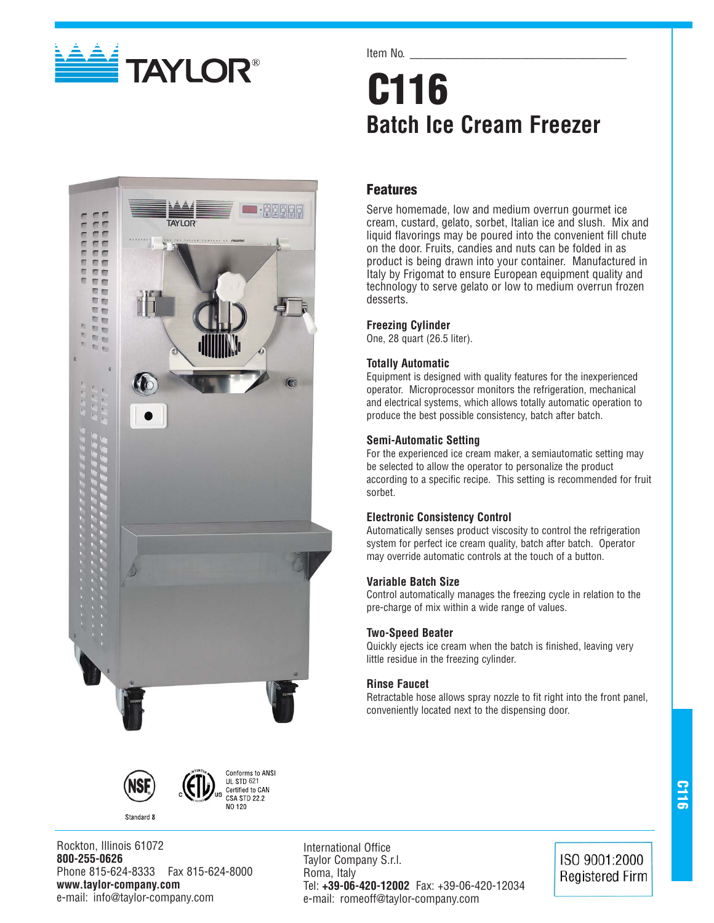

#### Item No.

# **C116 Batch Ice Cream Freezer**

### **Features**

Serve homemade, low and medium overrun gourmet ice cream, custard, gelato, sorbet, Italian ice and slush. Mix and liquid flavorings may be poured into the convenient fill chute on the door. Fruits, candies and nuts can be folded in as product is being drawn into your container. Manufactured in Italy by Frigomat to ensure European equipment quality and technology to serve gelato or low to medium overrun frozen desserts.

#### **Freezing Cylinder**

One, 28 quart (26.5 liter).

#### **Totally Automatic**

Equipment is designed with quality features for the inexperienced operator. Microprocessor monitors the refrigeration, mechanical and electrical systems, which allows totally automatic operation to produce the best possible consistency, batch after batch.

#### **Semi-Automatic Setting**

For the experienced ice cream maker, a semiautomatic setting may be selected to allow the operator to personalize the product according to a specific recipe. This setting is recommended for fruit sorbet.

#### **Electronic Consistency Control**

Automatically senses product viscosity to control the refrigeration system for perfect ice cream quality, batch after batch. Operator may override automatic controls at the touch of a button.

#### **Variable Batch Size**

Control automatically manages the freezing cycle in relation to the pre-charge of mix within a wide range of values.

#### **Two-Speed Beater**

Quickly ejects ice cream when the batch is finished, leaving very little residue in the freezing cylinder.

#### **Rinse Faucet**

Retractable hose allows spray nozzle to fit right into the front panel, conveniently located next to the dispensing door.



Standard 8



Rockton, Illinois 61072 **800-255-0626** Phone 815-624-8333 Fax 815-624-8000 **www.taylor-company.com** e-mail: info@taylor-company.com

International Office Taylor Company S.r.l. Roma, Italy Tel: **+39-06-420-12002** Fax: +39-06-420-12034 e-mail: romeoff@taylor-company.com

ISO 9001:2000 **Registered Firm**